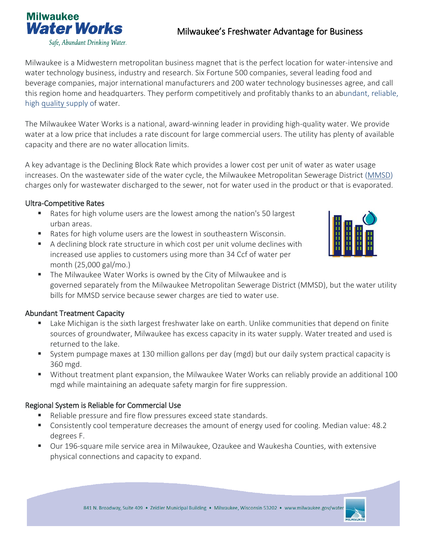

# Milwaukee's Freshwater Advantage for Business

Milwaukee is a Midwestern metropolitan business magnet that is the perfect location for water-intensive and water technology business, industry and research. Six Fortune 500 companies, several leading food and beverage companies, major international manufacturers and 200 water technology businesses agree, and call this region home and headquarters. They perform competitively and profitably thanks to an abundant, reliable, high [quality](http://city.milwaukee.gov/water/WaterQuality) supply of water.

The Milwaukee Water Works is a national, award-winning leader in providing high-quality water. We provide water at a low price that includes a rate discount for large commercial users. The utility has plenty of available capacity and there are no water allocation limits.

A key advantage is the Declining Block Rate which provides a lower cost per unit of water as water usage increases. On the wastewater side of the water cycle, the Milwaukee Metropolitan Sewerage District [\(MMSD\)](https://www.mmsd.com/) charges only for wastewater discharged to the sewer, not for water used in the product or that is evaporated.

#### Ultra-Competitive Rates

- Rates for high volume users are the lowest among the nation's 50 largest urban areas.
- Rates for high volume users are the lowest in southeastern Wisconsin.
- A declining block rate structure in which cost per unit volume declines with increased use applies to customers using more than 34 Ccf of water per month (25,000 gal/mo.)



 The Milwaukee Water Works is owned by the City of Milwaukee and is governed separately from the Milwaukee Metropolitan Sewerage District (MMSD), but the water utility bills for MMSD service because sewer charges are tied to water use.

#### Abundant Treatment Capacity

- **EXECT** Lake Michigan is the sixth largest freshwater lake on earth. Unlike communities that depend on finite sources of groundwater, Milwaukee has excess capacity in its water supply. Water treated and used is returned to the lake.
- System pumpage maxes at 130 million gallons per day (mgd) but our daily system practical capacity is 360 mgd.
- Without treatment plant expansion, the Milwaukee Water Works can reliably provide an additional 100 mgd while maintaining an adequate safety margin for fire suppression.

#### Regional System is Reliable for Commercial Use

- Reliable pressure and fire flow pressures exceed state standards.
- Consistently cool temperature decreases the amount of energy used for cooling. Median value: 48.2 degrees F.
- Our 196-square mile service area in Milwaukee, Ozaukee and Waukesha Counties, with extensive physical connections and capacity to expand.